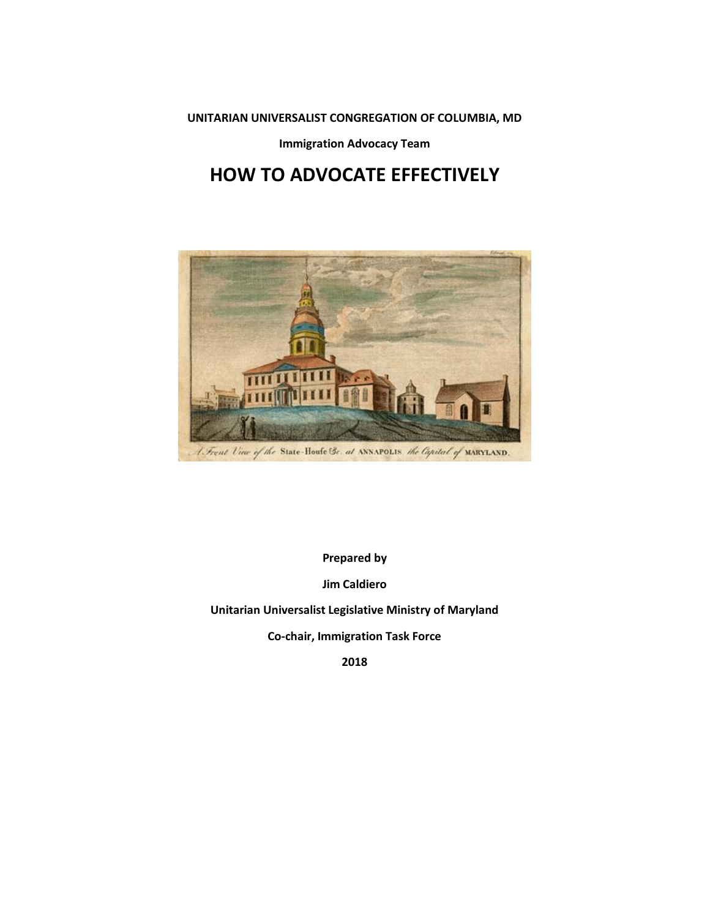**UNITARIAN UNIVERSALIST CONGREGATION OF COLUMBIA, MD**

**Immigration Advocacy Team**

# **HOW TO ADVOCATE EFFECTIVELY**



**Prepared by**

**Jim Caldiero**

**Unitarian Universalist Legislative Ministry of Maryland**

**Co-chair, Immigration Task Force**

**2018**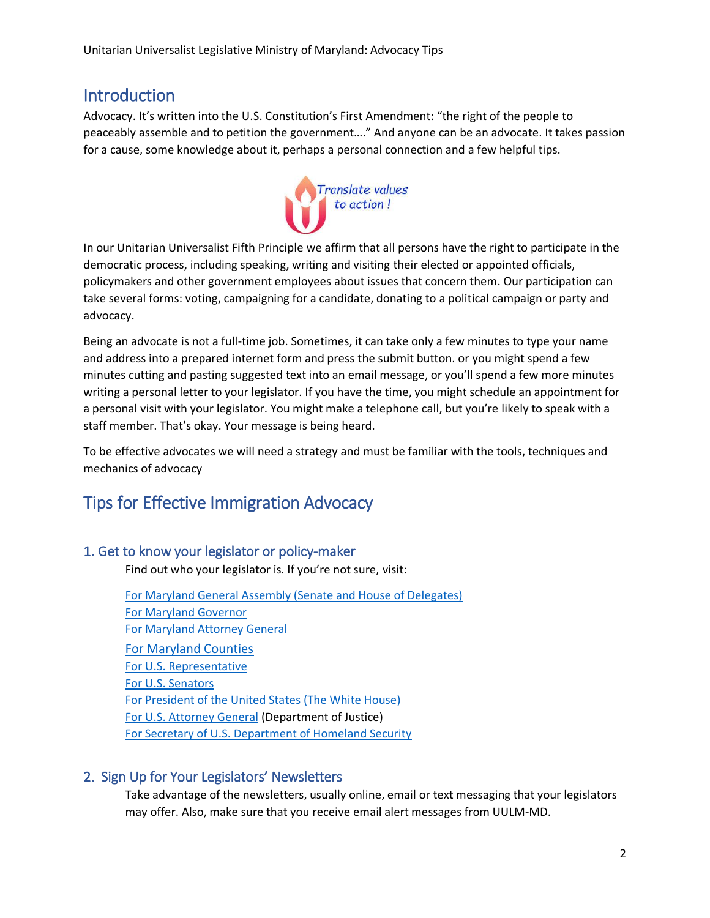# Introduction

Advocacy. It's written into the U.S. Constitution's First Amendment: "the right of the people to peaceably assemble and to petition the government…." And anyone can be an advocate. It takes passion for a cause, some knowledge about it, perhaps a personal connection and a few helpful tips.



In our Unitarian Universalist Fifth Principle we affirm that all persons have the right to participate in the democratic process, including speaking, writing and visiting their elected or appointed officials, policymakers and other government employees about issues that concern them. Our participation can take several forms: voting, campaigning for a candidate, donating to a political campaign or party and advocacy.

Being an advocate is not a full-time job. Sometimes, it can take only a few minutes to type your name and address into a prepared internet form and press the submit button. or you might spend a few minutes cutting and pasting suggested text into an email message, or you'll spend a few more minutes writing a personal letter to your legislator. If you have the time, you might schedule an appointment for a personal visit with your legislator. You might make a telephone call, but you're likely to speak with a staff member. That's okay. Your message is being heard.

To be effective advocates we will need a strategy and must be familiar with the tools, techniques and mechanics of advocacy

# Tips for Effective Immigration Advocacy

#### 1. Get to know your legislator or policy-maker

Find out who your legislator is. If you're not sure, visit:

[For Maryland General Assembly \(Senate and House of Delegates\)](http://mgaleg.maryland.gov/webmga/frmmain.aspx?pid=legisrpage&tab=subject6) [For Maryland Governor](https://governor.maryland.gov/) [For Maryland Attorney General](http://www.marylandattorneygeneral.gov/) [For Maryland Counties](https://msa.maryland.gov/msa/mdmanual/01glance/html/county.html) [For U.S. Representative](https://www.house.gov/representatives/find-your-representative) [For U.S. Senators](https://www.senate.gov/general/contact_information/senators_cfm.cfm) [For President of the United States](https://www.whitehouse.gov/) (The White House) [For U.S. Attorney General](https://www.justice.gov/) (Department of Justice) [For Secretary of U.S. Department of Homeland Security](https://www.dhs.gov/)

#### 2. Sign Up for Your Legislators' Newsletters

Take advantage of the newsletters, usually online, email or text messaging that your legislators may offer. Also, make sure that you receive email alert messages from UULM-MD.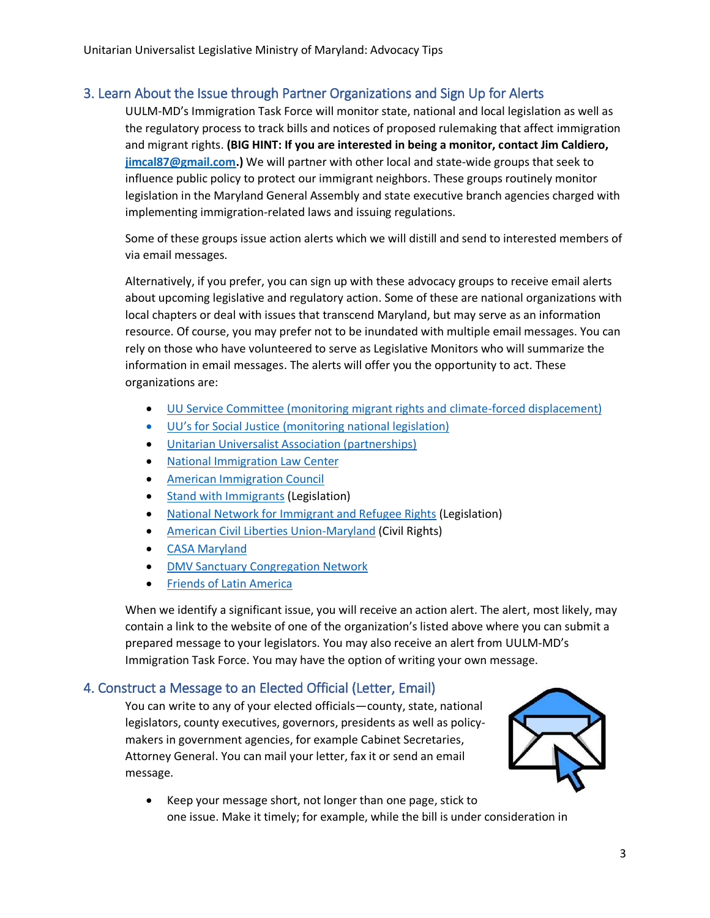## 3. Learn About the Issue through Partner Organizations and Sign Up for Alerts

UULM-MD's Immigration Task Force will monitor state, national and local legislation as well as the regulatory process to track bills and notices of proposed rulemaking that affect immigration and migrant rights. **(BIG HINT: If you are interested in being a monitor, contact Jim Caldiero, [jimcal87@gmail.com.](mailto:jimcal87@gmail.com))** We will partner with other local and state-wide groups that seek to influence public policy to protect our immigrant neighbors. These groups routinely monitor legislation in the Maryland General Assembly and state executive branch agencies charged with implementing immigration-related laws and issuing regulations.

Some of these groups issue action alerts which we will distill and send to interested members of via email messages.

Alternatively, if you prefer, you can sign up with these advocacy groups to receive email alerts about upcoming legislative and regulatory action. Some of these are national organizations with local chapters or deal with issues that transcend Maryland, but may serve as an information resource. Of course, you may prefer not to be inundated with multiple email messages. You can rely on those who have volunteered to serve as Legislative Monitors who will summarize the information in email messages. The alerts will offer you the opportunity to act. These organizations are:

- [UU Service Committee \(monitoring](https://www.uusc.org/initiatives/climate-forced-displacement/) migrant rights and climate-forced displacement)
- UU's for Social Justice [\(monitoring national legislation\)](http://uusj.net/wp1/)
- [Unitarian Universalist Association \(partnerships\)](https://www.uua.org/immigration)
- [National Immigration Law Center](https://www.nilc.org/)
- [American Immigration Council](https://americanimmigrationcouncil.org/topics/legislation)
- **[Stand with Immigrants](https://www.standwithimmigrants.org/advocacy_opportunities) (Legislation)**
- [National Network for Immigrant and Refugee Rights](http://www.nnirr.org/drupal/node/1512) (Legislation)
- [American Civil Liberties Union-Maryland](https://www.aclu-md.org/en/issues/civil-rights/immigrants-rights) (Civil Rights)
- [CASA Maryland](https://wearecasa.org/)
- [DMV Sanctuary Congregation Network](http://sanctuarydmv.org/congregation-network/)
- **[Friends of Latin America](https://friendsoflatinamerica.org/)**

When we identify a significant issue, you will receive an action alert. The alert, most likely, may contain a link to the website of one of the organization's listed above where you can submit a prepared message to your legislators. You may also receive an alert from UULM-MD's Immigration Task Force. You may have the option of writing your own message.

### 4. Construct a Message to an Elected Official (Letter, Email)

You can write to any of your elected officials—county, state, national legislators, county executives, governors, presidents as well as policymakers in government agencies, for example Cabinet Secretaries, Attorney General. You can mail your letter, fax it or send an email message.



• Keep your message short, not longer than one page, stick to one issue. Make it timely; for example, while the bill is under consideration in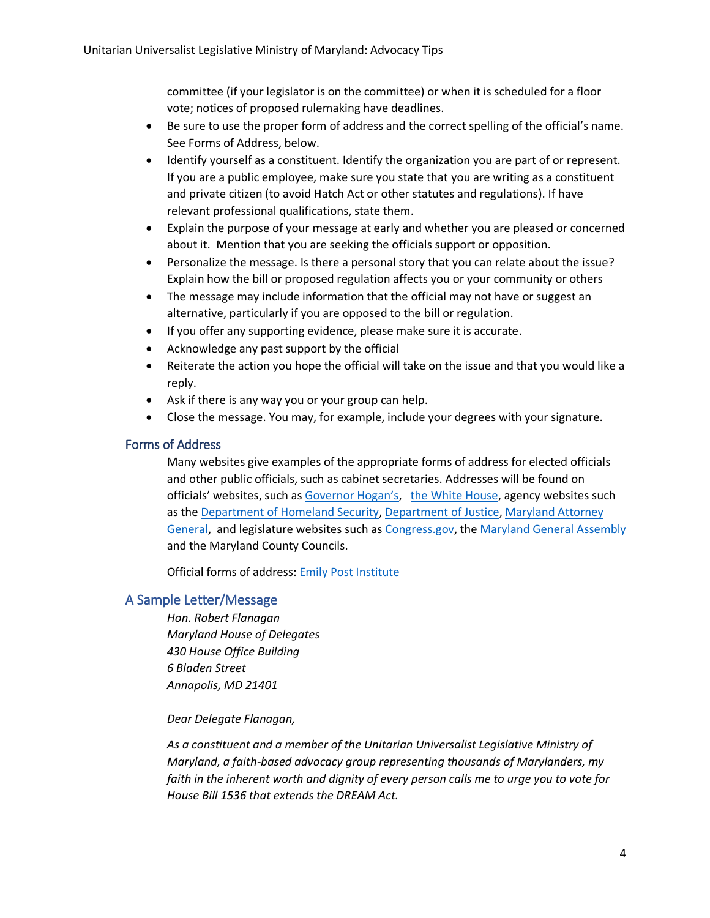committee (if your legislator is on the committee) or when it is scheduled for a floor vote; notices of proposed rulemaking have deadlines.

- Be sure to use the proper form of address and the correct spelling of the official's name. See Forms of Address, below.
- Identify yourself as a constituent. Identify the organization you are part of or represent. If you are a public employee, make sure you state that you are writing as a constituent and private citizen (to avoid Hatch Act or other statutes and regulations). If have relevant professional qualifications, state them.
- Explain the purpose of your message at early and whether you are pleased or concerned about it. Mention that you are seeking the officials support or opposition.
- Personalize the message. Is there a personal story that you can relate about the issue? Explain how the bill or proposed regulation affects you or your community or others
- The message may include information that the official may not have or suggest an alternative, particularly if you are opposed to the bill or regulation.
- If you offer any supporting evidence, please make sure it is accurate.
- Acknowledge any past support by the official
- Reiterate the action you hope the official will take on the issue and that you would like a reply.
- Ask if there is any way you or your group can help.
- Close the message. You may, for example, include your degrees with your signature.

#### Forms of Address

Many websites give examples of the appropriate forms of address for elected officials and other public officials, such as cabinet secretaries. Addresses will be found on officials' websites, such as [Governor Hogan's](https://governor.maryland.gov/contact-the-governors-office/), [the White House,](https://www.whitehouse.gov/) agency websites such as the [Department of Homeland Security,](https://www.dhs.gov/) [Department of Justice,](https://www.justice.gov/) [Maryland Attorney](http://www.marylandattorneygeneral.gov/)  [General,](http://www.marylandattorneygeneral.gov/) and legislature websites such as [Congress.gov,](https://congress.gov/) the [Maryland General Assembly](http://mgaleg.maryland.gov/webmga/frm1st.aspx?tab=home) and the Maryland County Councils.

Official forms of address: [Emily Post Institute](http://emilypost.com/advice/official-forms-of-address/)

#### A Sample Letter/Message

*Hon. Robert Flanagan Maryland House of Delegates 430 House Office Building 6 Bladen Street Annapolis, MD 21401*

*Dear Delegate Flanagan,*

*As a constituent and a member of the Unitarian Universalist Legislative Ministry of Maryland, a faith-based advocacy group representing thousands of Marylanders, my faith in the inherent worth and dignity of every person calls me to urge you to vote for House Bill 1536 that extends the DREAM Act.*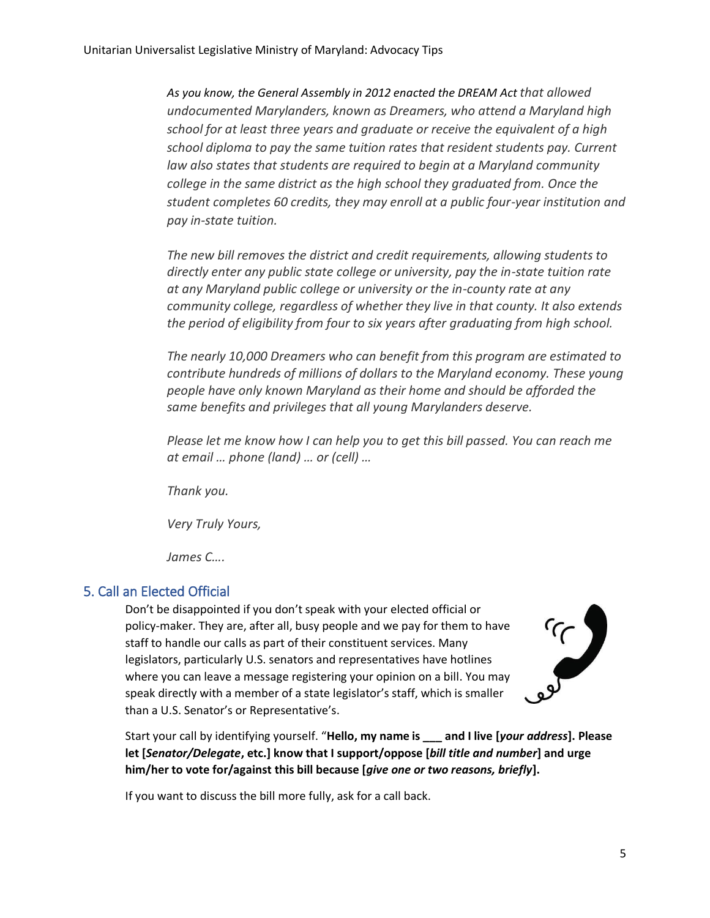*As you know, the General Assembly in 2012 enacted the DREAM Act that allowed undocumented Marylanders, known as Dreamers, who attend a Maryland high school for at least three years and graduate or receive the equivalent of a high school diploma to pay the same tuition rates that resident students pay. Current law also states that students are required to begin at a Maryland community college in the same district as the high school they graduated from. Once the student completes 60 credits, they may enroll at a public four-year institution and pay in-state tuition.*

*The new bill removes the district and credit requirements, allowing students to directly enter any public state college or university, pay the in-state tuition rate at any Maryland public college or university or the in-county rate at any community college, regardless of whether they live in that county. It also extends the period of eligibility from four to six years after graduating from high school.* 

*The nearly 10,000 Dreamers who can benefit from this program are estimated to contribute hundreds of millions of dollars to the Maryland economy. These young people have only known Maryland as their home and should be afforded the same benefits and privileges that all young Marylanders deserve.*

*Please let me know how I can help you to get this bill passed. You can reach me at email … phone (land) … or (cell) …*

*Thank you.*

*Very Truly Yours,*

*James C….*

### 5. Call an Elected Official

Don't be disappointed if you don't speak with your elected official or policy-maker. They are, after all, busy people and we pay for them to have staff to handle our calls as part of their constituent services. Many legislators, particularly U.S. senators and representatives have hotlines where you can leave a message registering your opinion on a bill. You may speak directly with a member of a state legislator's staff, which is smaller than a U.S. Senator's or Representative's.



Start your call by identifying yourself. "**Hello, my name is \_\_\_ and I live [***your address***]. Please let [***Senator/Delegate***, etc.] know that I support/oppose [***bill title and number***] and urge him/her to vote for/against this bill because [***give one or two reasons, briefly***].**

If you want to discuss the bill more fully, ask for a call back.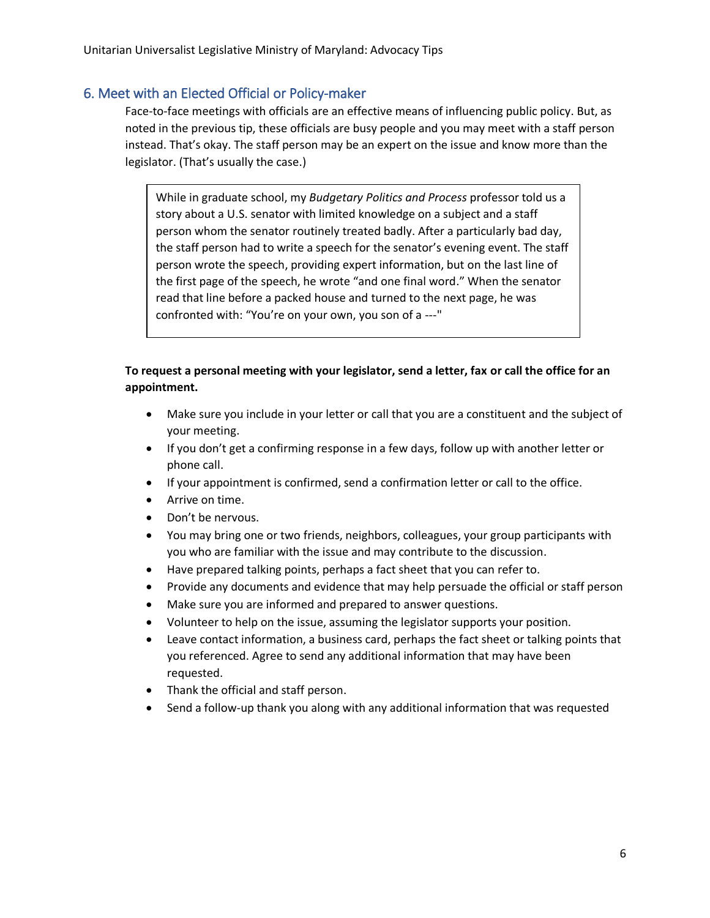#### 6. Meet with an Elected Official or Policy-maker

Face-to-face meetings with officials are an effective means of influencing public policy. But, as noted in the previous tip, these officials are busy people and you may meet with a staff person instead. That's okay. The staff person may be an expert on the issue and know more than the legislator. (That's usually the case.)

While in graduate school, my *Budgetary Politics and Process* professor told us a story about a U.S. senator with limited knowledge on a subject and a staff person whom the senator routinely treated badly. After a particularly bad day, the staff person had to write a speech for the senator's evening event. The staff person wrote the speech, providing expert information, but on the last line of the first page of the speech, he wrote "and one final word." When the senator read that line before a packed house and turned to the next page, he was confronted with: "You're on your own, you son of a ---"

#### **To request a personal meeting with your legislator, send a letter, fax or call the office for an appointment.**

- Make sure you include in your letter or call that you are a constituent and the subject of your meeting.
- If you don't get a confirming response in a few days, follow up with another letter or phone call.
- If your appointment is confirmed, send a confirmation letter or call to the office.
- Arrive on time.
- Don't be nervous.
- You may bring one or two friends, neighbors, colleagues, your group participants with you who are familiar with the issue and may contribute to the discussion.
- Have prepared talking points, perhaps a fact sheet that you can refer to.
- Provide any documents and evidence that may help persuade the official or staff person
- Make sure you are informed and prepared to answer questions.
- Volunteer to help on the issue, assuming the legislator supports your position.
- Leave contact information, a business card, perhaps the fact sheet or talking points that you referenced. Agree to send any additional information that may have been requested.
- Thank the official and staff person.
- Send a follow-up thank you along with any additional information that was requested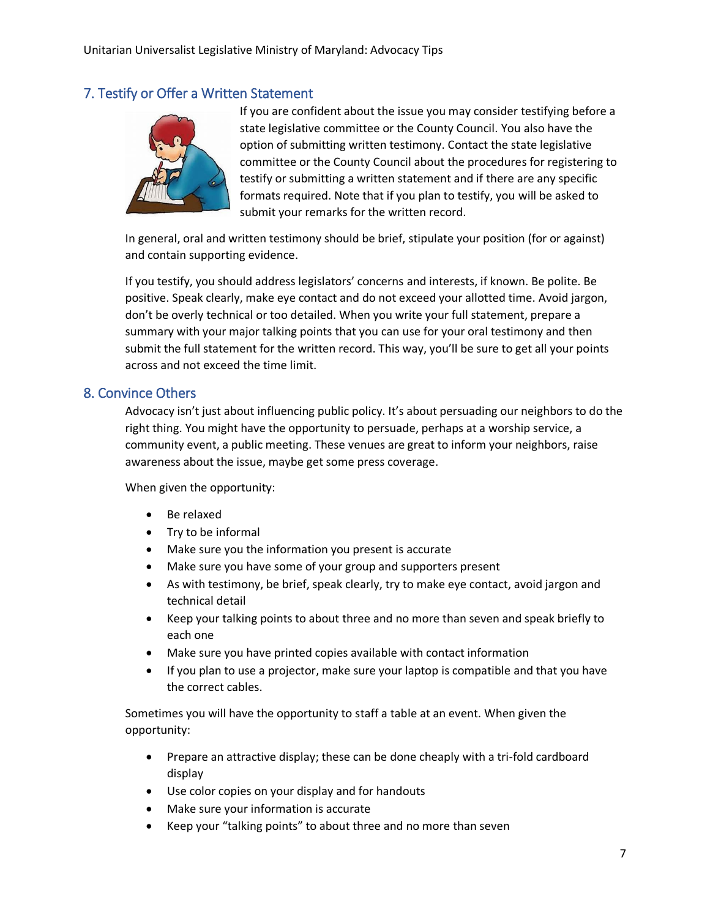#### 7. Testify or Offer a Written Statement



If you are confident about the issue you may consider testifying before a state legislative committee or the County Council. You also have the option of submitting written testimony. Contact the state legislative committee or the County Council about the procedures for registering to testify or submitting a written statement and if there are any specific formats required. Note that if you plan to testify, you will be asked to submit your remarks for the written record.

In general, oral and written testimony should be brief, stipulate your position (for or against) and contain supporting evidence.

If you testify, you should address legislators' concerns and interests, if known. Be polite. Be positive. Speak clearly, make eye contact and do not exceed your allotted time. Avoid jargon, don't be overly technical or too detailed. When you write your full statement, prepare a summary with your major talking points that you can use for your oral testimony and then submit the full statement for the written record. This way, you'll be sure to get all your points across and not exceed the time limit.

#### 8. Convince Others

Advocacy isn't just about influencing public policy. It's about persuading our neighbors to do the right thing. You might have the opportunity to persuade, perhaps at a worship service, a community event, a public meeting. These venues are great to inform your neighbors, raise awareness about the issue, maybe get some press coverage.

When given the opportunity:

- Be relaxed
- Try to be informal
- Make sure you the information you present is accurate
- Make sure you have some of your group and supporters present
- As with testimony, be brief, speak clearly, try to make eye contact, avoid jargon and technical detail
- Keep your talking points to about three and no more than seven and speak briefly to each one
- Make sure you have printed copies available with contact information
- If you plan to use a projector, make sure your laptop is compatible and that you have the correct cables.

Sometimes you will have the opportunity to staff a table at an event. When given the opportunity:

- Prepare an attractive display; these can be done cheaply with a tri-fold cardboard display
- Use color copies on your display and for handouts
- Make sure your information is accurate
- Keep your "talking points" to about three and no more than seven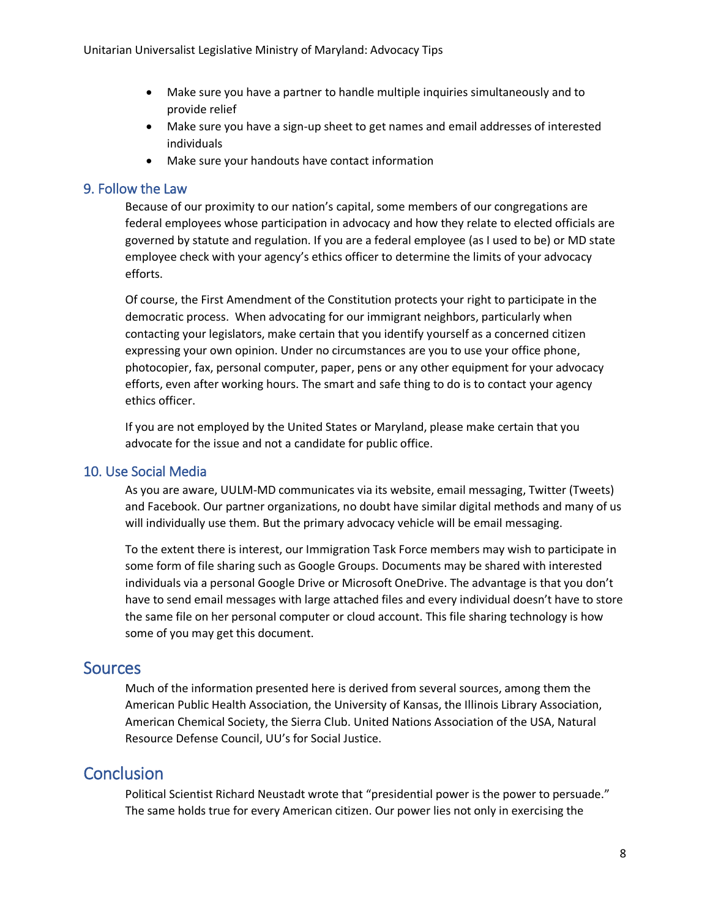- Make sure you have a partner to handle multiple inquiries simultaneously and to provide relief
- Make sure you have a sign-up sheet to get names and email addresses of interested individuals
- Make sure your handouts have contact information

#### 9. Follow the Law

Because of our proximity to our nation's capital, some members of our congregations are federal employees whose participation in advocacy and how they relate to elected officials are governed by statute and regulation. If you are a federal employee (as I used to be) or MD state employee check with your agency's ethics officer to determine the limits of your advocacy efforts.

Of course, the First Amendment of the Constitution protects your right to participate in the democratic process. When advocating for our immigrant neighbors, particularly when contacting your legislators, make certain that you identify yourself as a concerned citizen expressing your own opinion. Under no circumstances are you to use your office phone, photocopier, fax, personal computer, paper, pens or any other equipment for your advocacy efforts, even after working hours. The smart and safe thing to do is to contact your agency ethics officer.

If you are not employed by the United States or Maryland, please make certain that you advocate for the issue and not a candidate for public office.

#### 10. Use Social Media

As you are aware, UULM-MD communicates via its website, email messaging, Twitter (Tweets) and Facebook. Our partner organizations, no doubt have similar digital methods and many of us will individually use them. But the primary advocacy vehicle will be email messaging.

To the extent there is interest, our Immigration Task Force members may wish to participate in some form of file sharing such as Google Groups. Documents may be shared with interested individuals via a personal Google Drive or Microsoft OneDrive. The advantage is that you don't have to send email messages with large attached files and every individual doesn't have to store the same file on her personal computer or cloud account. This file sharing technology is how some of you may get this document.

### **Sources**

Much of the information presented here is derived from several sources, among them the American Public Health Association, the University of Kansas, the Illinois Library Association, American Chemical Society, the Sierra Club. United Nations Association of the USA, Natural Resource Defense Council, UU's for Social Justice.

## **Conclusion**

Political Scientist Richard Neustadt wrote that "presidential power is the power to persuade." The same holds true for every American citizen. Our power lies not only in exercising the